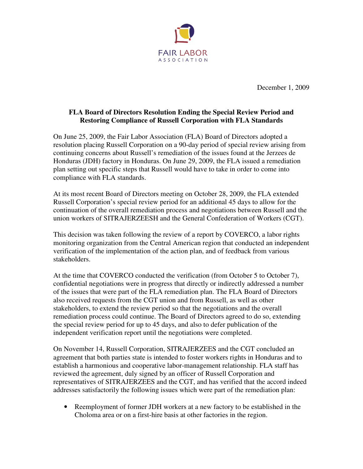

December 1, 2009

## **FLA Board of Directors Resolution Ending the Special Review Period and Restoring Compliance of Russell Corporation with FLA Standards**

On June 25, 2009, the Fair Labor Association (FLA) Board of Directors adopted a resolution placing Russell Corporation on a 90-day period of special review arising from continuing concerns about Russell's remediation of the issues found at the Jerzees de Honduras (JDH) factory in Honduras. On June 29, 2009, the FLA issued a remediation plan setting out specific steps that Russell would have to take in order to come into compliance with FLA standards.

At its most recent Board of Directors meeting on October 28, 2009, the FLA extended Russell Corporation's special review period for an additional 45 days to allow for the continuation of the overall remediation process and negotiations between Russell and the union workers of SITRAJERZEESH and the General Confederation of Workers (CGT).

This decision was taken following the review of a report by COVERCO, a labor rights monitoring organization from the Central American region that conducted an independent verification of the implementation of the action plan, and of feedback from various stakeholders.

At the time that COVERCO conducted the verification (from October 5 to October 7), confidential negotiations were in progress that directly or indirectly addressed a number of the issues that were part of the FLA remediation plan. The FLA Board of Directors also received requests from the CGT union and from Russell, as well as other stakeholders, to extend the review period so that the negotiations and the overall remediation process could continue. The Board of Directors agreed to do so, extending the special review period for up to 45 days, and also to defer publication of the independent verification report until the negotiations were completed.

On November 14, Russell Corporation, SITRAJERZEES and the CGT concluded an agreement that both parties state is intended to foster workers rights in Honduras and to establish a harmonious and cooperative labor-management relationship. FLA staff has reviewed the agreement, duly signed by an officer of Russell Corporation and representatives of SITRAJERZEES and the CGT, and has verified that the accord indeed addresses satisfactorily the following issues which were part of the remediation plan:

• Reemployment of former JDH workers at a new factory to be established in the Choloma area or on a first-hire basis at other factories in the region.